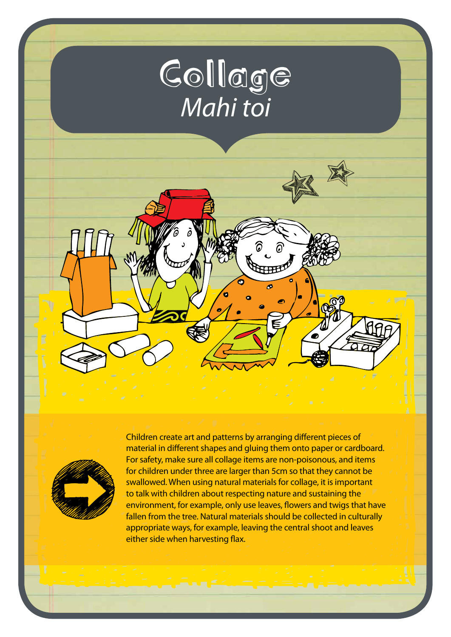



Children create art and patterns by arranging different pieces of material in different shapes and gluing them onto paper or cardboard. For safety, make sure all collage items are non-poisonous, and items for children under three are larger than 5cm so that they cannot be swallowed. When using natural materials for collage, it is important to talk with children about respecting nature and sustaining the environment, for example, only use leaves, flowers and twigs that have fallen from the tree. Natural materials should be collected in culturally appropriate ways, for example, leaving the central shoot and leaves either side when harvesting flax.